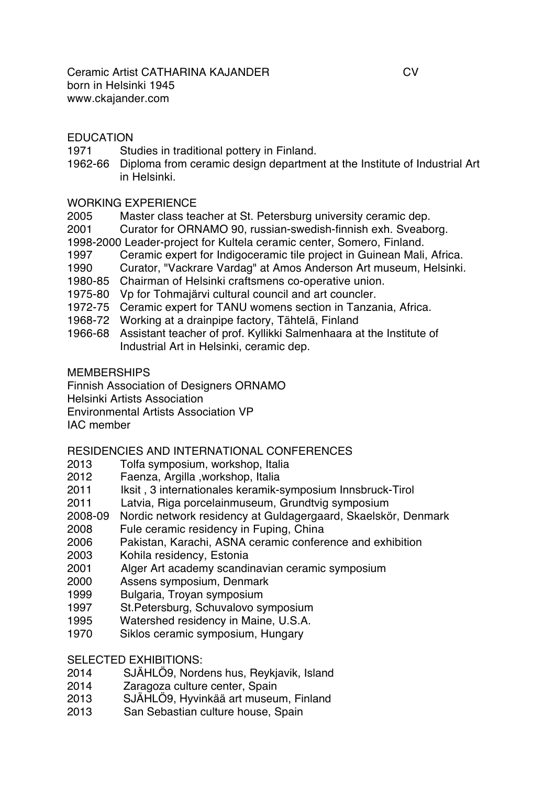## EDUCATION

- 1971 Studies in traditional pottery in Finland.
- 1962-66 Diploma from ceramic design department at the Institute of Industrial Art in Helsinki.

## WORKING EXPERIENCE

- 2005 Master class teacher at St. Petersburg university ceramic dep.
- 2001 Curator for ORNAMO 90, russian-swedish-finnish exh. Sveaborg.
- 1998-2000 Leader-project for Kultela ceramic center, Somero, Finland.
- 1997 Ceramic expert for Indigoceramic tile project in Guinean Mali, Africa.
- 1990 Curator, "Vackrare Vardag" at Amos Anderson Art museum, Helsinki.
- 1980-85 Chairman of Helsinki craftsmens co-operative union.
- 1975-80 Vp for Tohmajärvi cultural council and art councler.
- 1972-75 Ceramic expert for TANU womens section in Tanzania, Africa.
- 1968-72 Working at a drainpipe factory, Tähtelä, Finland
- 1966-68 Assistant teacher of prof. Kyllikki Salmenhaara at the Institute of Industrial Art in Helsinki, ceramic dep.

**MEMBERSHIPS** 

Finnish Association of Designers ORNAMO

Helsinki Artists Association

Environmental Artists Association VP

IAC member

## RESIDENCIES AND INTERNATIONAL CONFERENCES

- 2013 Tolfa symposium, workshop, Italia
- 2012 Faenza, Argilla ,workshop, Italia
- 2011 Iksit , 3 internationales keramik-symposium Innsbruck-Tirol
- 2011 Latvia, Riga porcelainmuseum, Grundtvig symposium
- 2008-09 Nordic network residency at Guldagergaard, Skaelskör, Denmark
- 2008 Fule ceramic residency in Fuping, China
- 2006 Pakistan, Karachi, ASNA ceramic conference and exhibition
- 2003 Kohila residency, Estonia
- 2001 Alger Art academy scandinavian ceramic symposium
- 2000 Assens symposium, Denmark
- 1999 Bulgaria, Troyan symposium
- 1997 St.Petersburg, Schuvalovo symposium
- 1995 Watershed residency in Maine, U.S.A.
- 1970 Siklos ceramic symposium, Hungary

SELECTED EXHIBITIONS:

- 2014 SJÄHLÖ9, Nordens hus, Reykjavik, Island
- 2014 Zaragoza culture center, Spain
- 2013 SJÄHLÖ9, Hyvinkää art museum, Finland
- 2013 San Sebastian culture house, Spain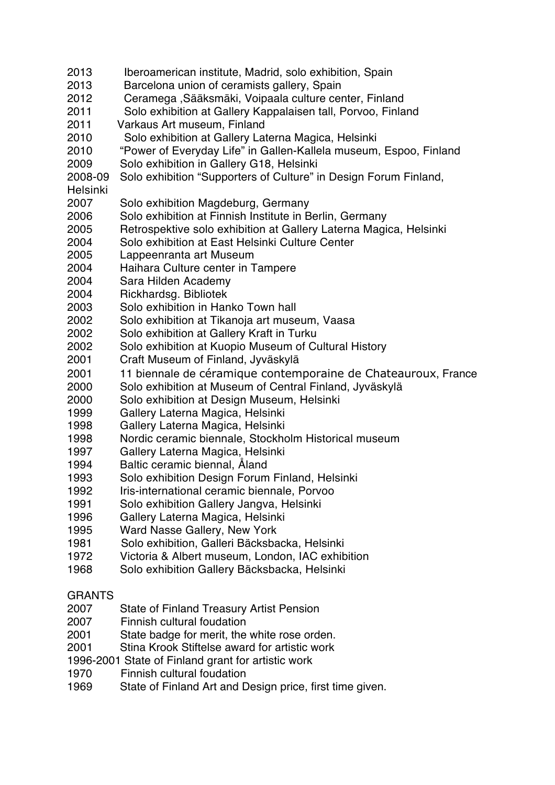- 2013 Iberoamerican institute, Madrid, solo exhibition, Spain
- 2013 Barcelona union of ceramists gallery, Spain
- 2012 Ceramega ,Sääksmäki, Voipaala culture center, Finland
- 2011 Solo exhibition at Gallery Kappalaisen tall, Porvoo, Finland
- 2011 Varkaus Art museum, Finland
- 2010 Solo exhibition at Gallery Laterna Magica, Helsinki
- 2010 "Power of Everyday Life" in Gallen-Kallela museum, Espoo, Finland
- 2009 Solo exhibition in Gallery G18, Helsinki
- 2008-09 Solo exhibition "Supporters of Culture" in Design Forum Finland,
- Helsinki
- 2007 Solo exhibition Magdeburg, Germany
- 2006 Solo exhibition at Finnish Institute in Berlin, Germany
- 2005 Retrospektive solo exhibition at Gallery Laterna Magica, Helsinki
- 2004 Solo exhibition at East Helsinki Culture Center
- 2005 Lappeenranta art Museum
- 2004 Haihara Culture center in Tampere
- 2004 Sara Hilden Academy
- 2004 Rickhardsg. Bibliotek
- 2003 Solo exhibition in Hanko Town hall
- 2002 Solo exhibition at Tikanoja art museum, Vaasa
- 2002 Solo exhibition at Gallery Kraft in Turku
- 2002 Solo exhibition at Kuopio Museum of Cultural History
- 2001 Craft Museum of Finland, Jyväskylä
- 2001 11 biennale de céramique contemporaine de Chateauroux, France
- 2000 Solo exhibition at Museum of Central Finland, Jyväskylä
- 2000 Solo exhibition at Design Museum, Helsinki
- 1999 Gallery Laterna Magica, Helsinki
- 1998 Gallery Laterna Magica, Helsinki
- 1998 Nordic ceramic biennale, Stockholm Historical museum
- 1997 Gallery Laterna Magica, Helsinki
- 1994 Baltic ceramic biennal, Åland
- 1993 Solo exhibition Design Forum Finland, Helsinki
- 1992 Iris-international ceramic biennale, Porvoo
- 1991 Solo exhibition Gallery Jangva, Helsinki
- 1996 Gallery Laterna Magica, Helsinki
- 1995 Ward Nasse Gallery, New York
- 1981 Solo exhibition, Galleri Bäcksbacka, Helsinki
- 1972 Victoria & Albert museum, London, IAC exhibition
- 1968 Solo exhibition Gallery Bäcksbacka, Helsinki

# GRANTS

- 2007 State of Finland Treasury Artist Pension
- 2007 Finnish cultural foudation
- 2001 State badge for merit, the white rose orden.
- 2001 Stina Krook Stiftelse award for artistic work
- 1996-2001 State of Finland grant for artistic work
- 1970 Finnish cultural foudation
- 1969 State of Finland Art and Design price, first time given.